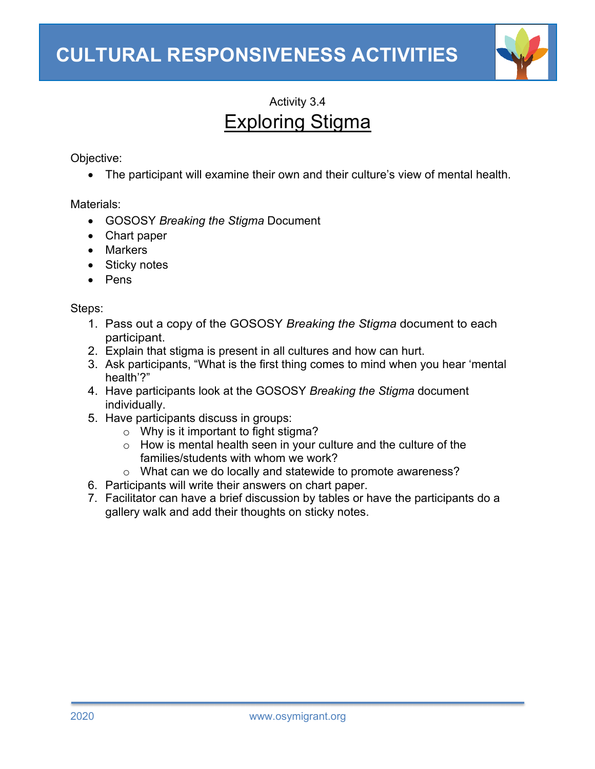

# Activity 3.4 Exploring Stigma

Objective:

• The participant will examine their own and their culture's view of mental health.

Materials:

- GOSOSY *Breaking the Stigma* Document
- Chart paper
- Markers
- Sticky notes
- Pens

Steps:

- 1. Pass out a copy of the GOSOSY *Breaking the Stigma* document to each participant.
- 2. Explain that stigma is present in all cultures and how can hurt.
- 3. Ask participants, "What is the first thing comes to mind when you hear 'mental health'?"
- 4. Have participants look at the GOSOSY *Breaking the Stigma* document individually.
- 5. Have participants discuss in groups:
	- $\circ$  Why is it important to fight stigma?
	- o How is mental health seen in your culture and the culture of the families/students with whom we work?
	- o What can we do locally and statewide to promote awareness?
- 6. Participants will write their answers on chart paper.
- 7. Facilitator can have a brief discussion by tables or have the participants do a gallery walk and add their thoughts on sticky notes.